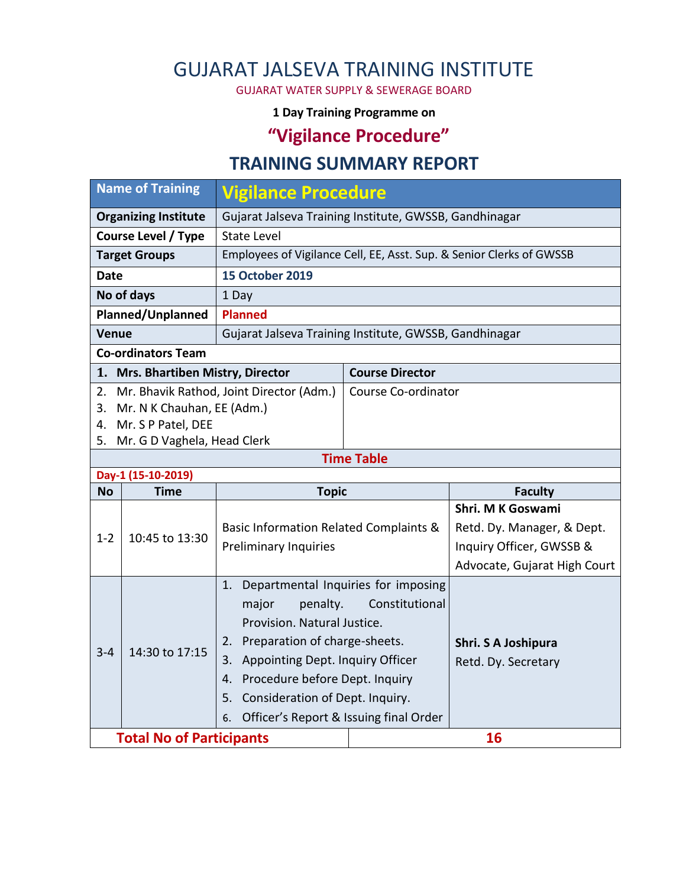## GUJARAT JALSEVA TRAINING INSTITUTE

GUJARAT WATER SUPPLY & SEWERAGE BOARD

#### **1 Day Training Programme on**

# **"Vigilance Procedure"**

### **TRAINING SUMMARY REPORT**

| <b>Name of Training</b>                 |                                 | <b>Vigilance Procedure</b>                                           |                        |                              |  |  |  |
|-----------------------------------------|---------------------------------|----------------------------------------------------------------------|------------------------|------------------------------|--|--|--|
| <b>Organizing Institute</b>             |                                 | Gujarat Jalseva Training Institute, GWSSB, Gandhinagar               |                        |                              |  |  |  |
| <b>Course Level / Type</b>              |                                 | <b>State Level</b>                                                   |                        |                              |  |  |  |
| <b>Target Groups</b>                    |                                 | Employees of Vigilance Cell, EE, Asst. Sup. & Senior Clerks of GWSSB |                        |                              |  |  |  |
| <b>Date</b>                             |                                 | <b>15 October 2019</b>                                               |                        |                              |  |  |  |
| No of days                              |                                 | 1 Day                                                                |                        |                              |  |  |  |
| Planned/Unplanned                       |                                 | <b>Planned</b>                                                       |                        |                              |  |  |  |
| <b>Venue</b>                            |                                 | Gujarat Jalseva Training Institute, GWSSB, Gandhinagar               |                        |                              |  |  |  |
| <b>Co-ordinators Team</b>               |                                 |                                                                      |                        |                              |  |  |  |
| 1. Mrs. Bhartiben Mistry, Director      |                                 |                                                                      | <b>Course Director</b> |                              |  |  |  |
| 2.                                      |                                 | Mr. Bhavik Rathod, Joint Director (Adm.)                             | Course Co-ordinator    |                              |  |  |  |
| 3.                                      | Mr. N K Chauhan, EE (Adm.)      |                                                                      |                        |                              |  |  |  |
| Mr. S P Patel, DEE<br>4.                |                                 |                                                                      |                        |                              |  |  |  |
| Mr. G D Vaghela, Head Clerk<br>5.       |                                 |                                                                      |                        |                              |  |  |  |
| <b>Time Table</b><br>Day-1 (15-10-2019) |                                 |                                                                      |                        |                              |  |  |  |
| <b>No</b>                               | <b>Time</b>                     | <b>Topic</b>                                                         |                        | <b>Faculty</b>               |  |  |  |
|                                         | 10:45 to 13:30                  |                                                                      |                        | Shri. M K Goswami            |  |  |  |
|                                         |                                 | Basic Information Related Complaints &                               |                        | Retd. Dy. Manager, & Dept.   |  |  |  |
| $1 - 2$                                 |                                 | <b>Preliminary Inquiries</b>                                         |                        | Inquiry Officer, GWSSB &     |  |  |  |
|                                         |                                 |                                                                      |                        | Advocate, Gujarat High Court |  |  |  |
|                                         |                                 | Departmental Inquiries for imposing<br>1.                            |                        |                              |  |  |  |
|                                         | 14:30 to 17:15                  | Constitutional<br>major<br>penalty.                                  |                        |                              |  |  |  |
|                                         |                                 | Provision. Natural Justice.                                          |                        |                              |  |  |  |
|                                         |                                 | 2. Preparation of charge-sheets.                                     |                        | Shri. S A Joshipura          |  |  |  |
| $3 - 4$                                 |                                 | 3. Appointing Dept. Inquiry Officer                                  |                        | Retd. Dy. Secretary          |  |  |  |
|                                         |                                 | 4. Procedure before Dept. Inquiry                                    |                        |                              |  |  |  |
|                                         |                                 | Consideration of Dept. Inquiry.<br>5.                                |                        |                              |  |  |  |
|                                         |                                 | Officer's Report & Issuing final Order<br>6.                         |                        |                              |  |  |  |
|                                         | <b>Total No of Participants</b> |                                                                      |                        | 16                           |  |  |  |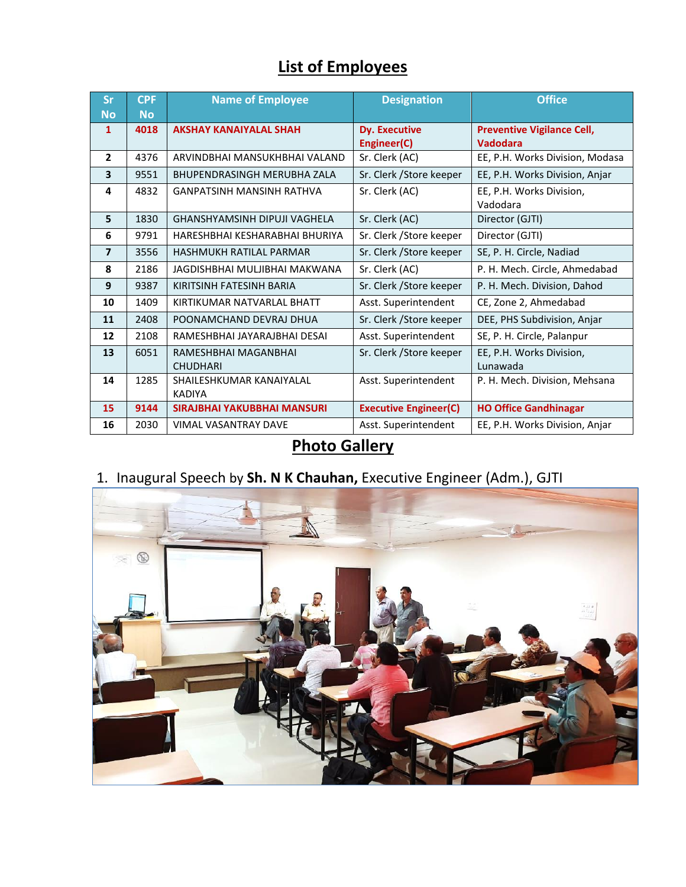# **List of Employees**

| <b>Sr</b><br><b>No</b> | <b>CPF</b><br><b>No</b> | <b>Name of Employee</b>                   | <b>Designation</b>                  | <b>Office</b>                                        |
|------------------------|-------------------------|-------------------------------------------|-------------------------------------|------------------------------------------------------|
| $\mathbf{1}$           | 4018                    | <b>AKSHAY KANAIYALAL SHAH</b>             | <b>Dy. Executive</b><br>Engineer(C) | <b>Preventive Vigilance Cell,</b><br><b>Vadodara</b> |
| $\overline{2}$         | 4376                    | ARVINDBHAI MANSUKHBHAI VALAND             | Sr. Clerk (AC)                      | EE, P.H. Works Division, Modasa                      |
| 3                      | 9551                    | <b>BHUPENDRASINGH MERUBHA ZALA</b>        | Sr. Clerk / Store keeper            | EE, P.H. Works Division, Anjar                       |
| 4                      | 4832                    | <b>GANPATSINH MANSINH RATHVA</b>          | Sr. Clerk (AC)                      | EE, P.H. Works Division,<br>Vadodara                 |
| 5                      | 1830                    | GHANSHYAMSINH DIPUJI VAGHELA              | Sr. Clerk (AC)                      | Director (GJTI)                                      |
| 6                      | 9791                    | HARESHBHAI KESHARABHAI BHURIYA            | Sr. Clerk / Store keeper            | Director (GJTI)                                      |
| $\overline{7}$         | 3556                    | HASHMUKH RATILAL PARMAR                   | Sr. Clerk / Store keeper            | SE, P. H. Circle, Nadiad                             |
| 8                      | 2186                    | JAGDISHBHAI MULJIBHAI MAKWANA             | Sr. Clerk (AC)                      | P. H. Mech. Circle, Ahmedabad                        |
| 9                      | 9387                    | KIRITSINH FATESINH BARIA                  | Sr. Clerk / Store keeper            | P. H. Mech. Division, Dahod                          |
| 10                     | 1409                    | KIRTIKUMAR NATVARI AI BHATT               | Asst. Superintendent                | CE, Zone 2, Ahmedabad                                |
| 11                     | 2408                    | POONAMCHAND DEVRAJ DHUA                   | Sr. Clerk / Store keeper            | DEE, PHS Subdivision, Anjar                          |
| 12                     | 2108                    | RAMESHBHAI JAYARAJBHAI DESAI              | Asst. Superintendent                | SE, P. H. Circle, Palanpur                           |
| 13                     | 6051                    | RAMESHBHAI MAGANBHAI<br><b>CHUDHARI</b>   | Sr. Clerk / Store keeper            | EE, P.H. Works Division,<br>Lunawada                 |
| 14                     | 1285                    | SHAILESHKUMAR KANAIYALAL<br><b>KADIYA</b> | Asst. Superintendent                | P. H. Mech. Division, Mehsana                        |
| 15                     | 9144                    | SIRAJBHAI YAKUBBHAI MANSURI               | <b>Executive Engineer(C)</b>        | <b>HO Office Gandhinagar</b>                         |
| 16                     | 2030                    | <b>VIMAL VASANTRAY DAVE</b>               | Asst. Superintendent                | EE, P.H. Works Division, Anjar                       |

### **Photo Gallery**

#### 1. Inaugural Speech by **Sh. N K Chauhan,** Executive Engineer (Adm.), GJTI